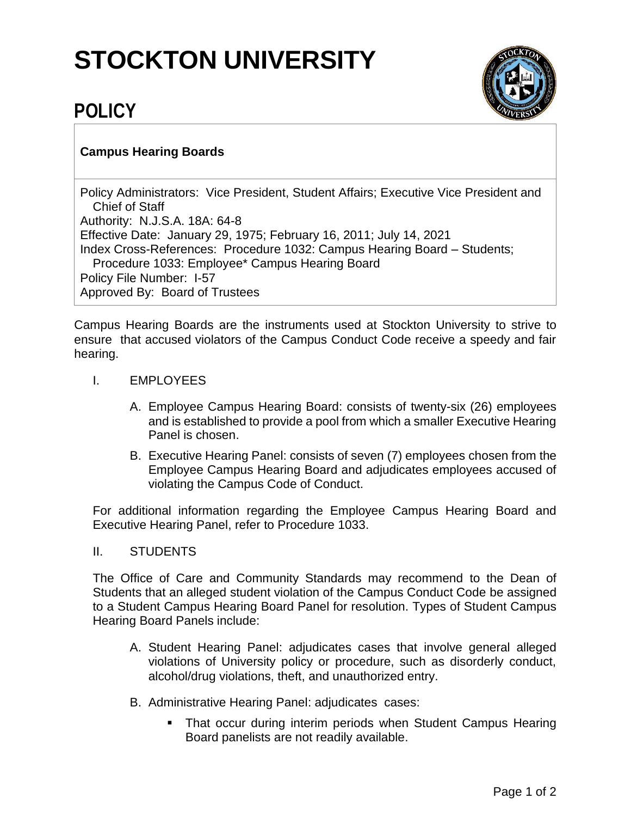## **STOCKTON UNIVERSITY**



## **POLICY**

## **Campus Hearing Boards**

Policy Administrators: Vice President, Student Affairs; Executive Vice President and Chief of Staff Authority: N.J.S.A. 18A: 64-8 Effective Date: January 29, 1975; February 16, 2011; July 14, 2021 Index Cross-References: Procedure 1032: Campus Hearing Board – Students; Procedure 1033: Employee\* Campus Hearing Board Policy File Number: I-57 Approved By: Board of Trustees

Campus Hearing Boards are the instruments used at Stockton University to strive to ensure that accused violators of the Campus Conduct Code receive a speedy and fair hearing.

- I. EMPLOYEES
	- A. Employee Campus Hearing Board: consists of twenty-six (26) employees and is established to provide a pool from which a smaller Executive Hearing Panel is chosen.
	- B. Executive Hearing Panel: consists of seven (7) employees chosen from the Employee Campus Hearing Board and adjudicates employees accused of violating the Campus Code of Conduct.

For additional information regarding the Employee Campus Hearing Board and Executive Hearing Panel, refer to Procedure 1033.

## II. STUDENTS

The Office of Care and Community Standards may recommend to the Dean of Students that an alleged student violation of the Campus Conduct Code be assigned to a Student Campus Hearing Board Panel for resolution. Types of Student Campus Hearing Board Panels include:

- A. Student Hearing Panel: adjudicates cases that involve general alleged violations of University policy or procedure, such as disorderly conduct, alcohol/drug violations, theft, and unauthorized entry.
- B. Administrative Hearing Panel: adjudicates cases:
	- That occur during interim periods when Student Campus Hearing Board panelists are not readily available.